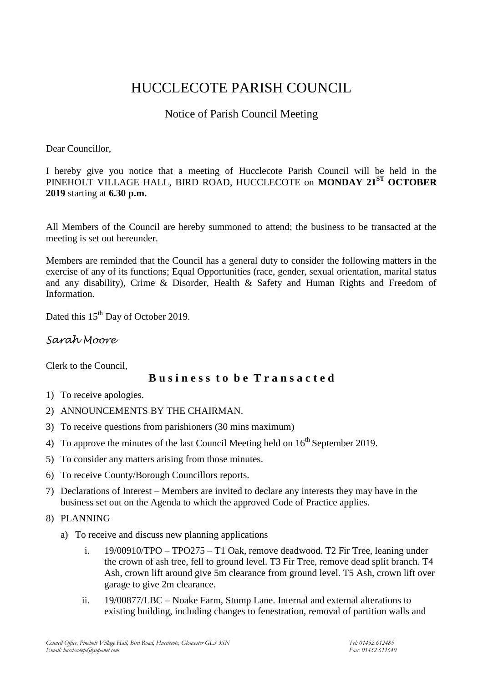# HUCCLECOTE PARISH COUNCIL

# Notice of Parish Council Meeting

#### Dear Councillor,

I hereby give you notice that a meeting of Hucclecote Parish Council will be held in the PINEHOLT VILLAGE HALL, BIRD ROAD, HUCCLECOTE on **MONDAY 21ST OCTOBER 2019** starting at **6.30 p.m.**

All Members of the Council are hereby summoned to attend; the business to be transacted at the meeting is set out hereunder.

Members are reminded that the Council has a general duty to consider the following matters in the exercise of any of its functions; Equal Opportunities (race, gender, sexual orientation, marital status and any disability), Crime & Disorder, Health & Safety and Human Rights and Freedom of Information.

Dated this 15<sup>th</sup> Day of October 2019.

## *Sarah Moore*

Clerk to the Council,

### **B u s i n e s s t o b e T r a n s a c t e d**

- 1) To receive apologies.
- 2) ANNOUNCEMENTS BY THE CHAIRMAN.
- 3) To receive questions from parishioners (30 mins maximum)
- 4) To approve the minutes of the last Council Meeting held on  $16<sup>th</sup>$  September 2019.
- 5) To consider any matters arising from those minutes.
- 6) To receive County/Borough Councillors reports.
- 7) Declarations of Interest Members are invited to declare any interests they may have in the business set out on the Agenda to which the approved Code of Practice applies.
- 8) PLANNING
	- a) To receive and discuss new planning applications
		- i. 19/00910/TPO TPO275 T1 Oak, remove deadwood. T2 Fir Tree, leaning under the crown of ash tree, fell to ground level. T3 Fir Tree, remove dead split branch. T4 Ash, crown lift around give 5m clearance from ground level. T5 Ash, crown lift over garage to give 2m clearance.
		- ii. 19/00877/LBC Noake Farm, Stump Lane. Internal and external alterations to existing building, including changes to fenestration, removal of partition walls and